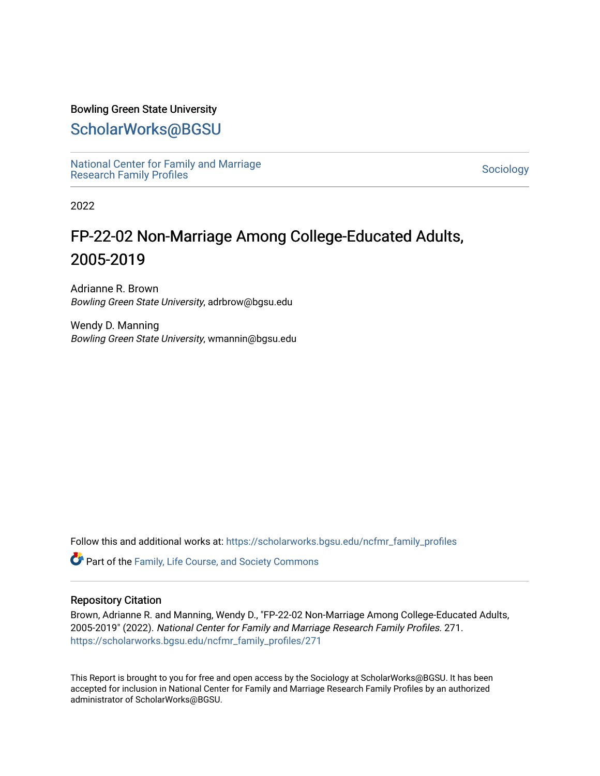### Bowling Green State University

## [ScholarWorks@BGSU](https://scholarworks.bgsu.edu/)

[National Center for Family and Marriage](https://scholarworks.bgsu.edu/ncfmr_family_profiles)  [Research Family Profiles](https://scholarworks.bgsu.edu/ncfmr_family_profiles) Sociology<br>Research Family Profiles

2022

# FP-22-02 Non-Marriage Among College-Educated Adults, 2005-2019

Adrianne R. Brown Bowling Green State University, adrbrow@bgsu.edu

Wendy D. Manning Bowling Green State University, wmannin@bgsu.edu

Follow this and additional works at: [https://scholarworks.bgsu.edu/ncfmr\\_family\\_profiles](https://scholarworks.bgsu.edu/ncfmr_family_profiles?utm_source=scholarworks.bgsu.edu%2Fncfmr_family_profiles%2F271&utm_medium=PDF&utm_campaign=PDFCoverPages)

Part of the [Family, Life Course, and Society Commons](http://network.bepress.com/hgg/discipline/419?utm_source=scholarworks.bgsu.edu%2Fncfmr_family_profiles%2F271&utm_medium=PDF&utm_campaign=PDFCoverPages) 

### Repository Citation

Brown, Adrianne R. and Manning, Wendy D., "FP-22-02 Non-Marriage Among College-Educated Adults, 2005-2019" (2022). National Center for Family and Marriage Research Family Profiles. 271. [https://scholarworks.bgsu.edu/ncfmr\\_family\\_profiles/271](https://scholarworks.bgsu.edu/ncfmr_family_profiles/271?utm_source=scholarworks.bgsu.edu%2Fncfmr_family_profiles%2F271&utm_medium=PDF&utm_campaign=PDFCoverPages) 

This Report is brought to you for free and open access by the Sociology at ScholarWorks@BGSU. It has been accepted for inclusion in National Center for Family and Marriage Research Family Profiles by an authorized administrator of ScholarWorks@BGSU.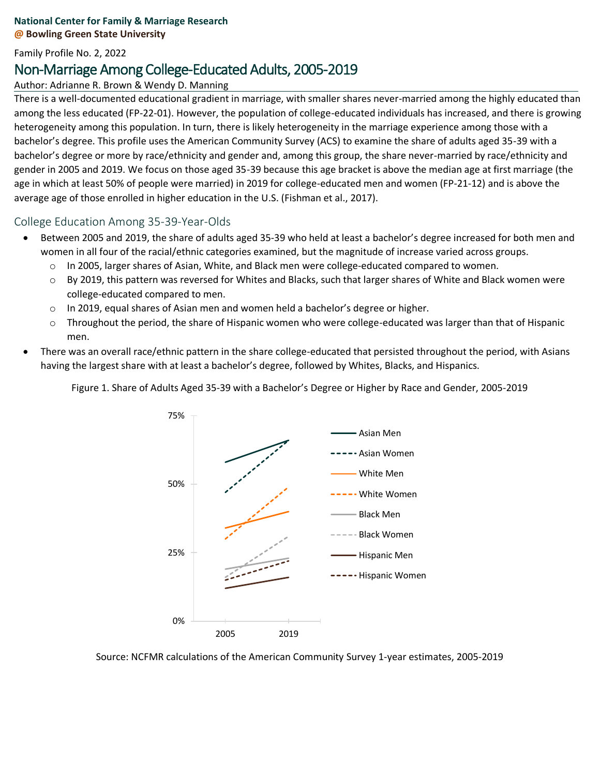### **National Center for Family & Marriage Research @ Bowling Green State University**

Family Profile No. 2, 2022

## Non-Marriage Among College-Educated Adults, 2005-2019

Author: Adrianne R. Brown & Wendy D. Manning

There is a well-documented educational gradient in marriage, with smaller shares never-married among the highly educated than among the less educated (FP-22-01). However, the population of college-educated individuals has increased, and there is growing heterogeneity among this population. In turn, there is likely heterogeneity in the marriage experience among those with a bachelor's degree. This profile uses the American Community Survey (ACS) to examine the share of adults aged 35-39 with a bachelor's degree or more by race/ethnicity and gender and, among this group, the share never-married by race/ethnicity and gender in 2005 and 2019. We focus on those aged 35-39 because this age bracket is above the median age at first marriage (the age in which at least 50% of people were married) in 2019 for college-educated men and women (FP-21-12) and is above the average age of those enrolled in higher education in the U.S. (Fishman et al., 2017).

College Education Among 35-39-Year-Olds

- Between 2005 and 2019, the share of adults aged 35-39 who held at least a bachelor's degree increased for both men and women in all four of the racial/ethnic categories examined, but the magnitude of increase varied across groups.
	- o In 2005, larger shares of Asian, White, and Black men were college-educated compared to women.
	- o By 2019, this pattern was reversed for Whites and Blacks, such that larger shares of White and Black women were college-educated compared to men.
	- o In 2019, equal shares of Asian men and women held a bachelor's degree or higher.
	- o Throughout the period, the share of Hispanic women who were college-educated was larger than that of Hispanic men.
- There was an overall race/ethnic pattern in the share college-educated that persisted throughout the period, with Asians having the largest share with at least a bachelor's degree, followed by Whites, Blacks, and Hispanics.

Figure 1. Share of Adults Aged 35-39 with a Bachelor's Degree or Higher by Race and Gender, 2005-2019



Source: NCFMR calculations of the American Community Survey 1-year estimates, 2005-2019